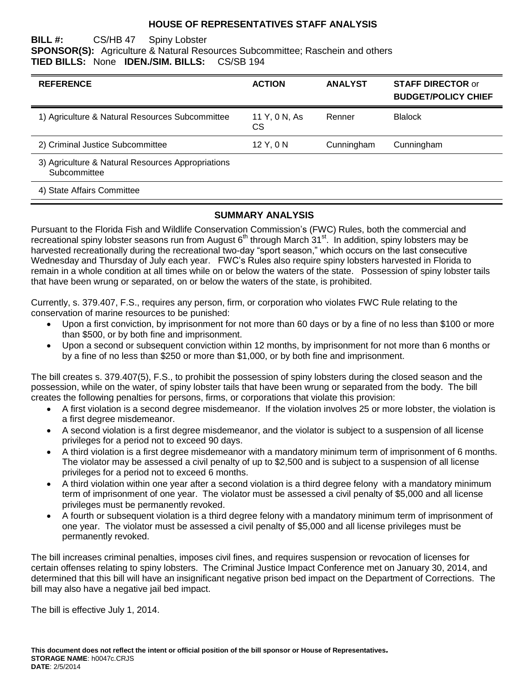#### **HOUSE OF REPRESENTATIVES STAFF ANALYSIS**

#### **BILL #:** CS/HB 47 Spiny Lobster **SPONSOR(S):** Agriculture & Natural Resources Subcommittee; Raschein and others **TIED BILLS:** None **IDEN./SIM. BILLS:** CS/SB 194

| <b>REFERENCE</b>                                                  | <b>ACTION</b>       | <b>ANALYST</b> | <b>STAFF DIRECTOR or</b><br><b>BUDGET/POLICY CHIEF</b> |
|-------------------------------------------------------------------|---------------------|----------------|--------------------------------------------------------|
| 1) Agriculture & Natural Resources Subcommittee                   | 11 Y, 0 N, As<br>CS | Renner         | <b>Blalock</b>                                         |
| 2) Criminal Justice Subcommittee                                  | 12 Y, 0 N           | Cunningham     | Cunningham                                             |
| 3) Agriculture & Natural Resources Appropriations<br>Subcommittee |                     |                |                                                        |

4) State Affairs Committee

#### **SUMMARY ANALYSIS**

Pursuant to the Florida Fish and Wildlife Conservation Commission's (FWC) Rules, both the commercial and recreational spiny lobster seasons run from August  $6<sup>th</sup>$  through March  $31<sup>st</sup>$ . In addition, spiny lobsters may be harvested recreationally during the recreational two-day "sport season," which occurs on the last consecutive Wednesday and Thursday of July each year. FWC's Rules also require spiny lobsters harvested in Florida to remain in a whole condition at all times while on or below the waters of the state. Possession of spiny lobster tails that have been wrung or separated, on or below the waters of the state, is prohibited.

Currently, s. 379.407, F.S., requires any person, firm, or corporation who violates FWC Rule relating to the conservation of marine resources to be punished:

- Upon a first conviction, by imprisonment for not more than 60 days or by a fine of no less than \$100 or more than \$500, or by both fine and imprisonment.
- Upon a second or subsequent conviction within 12 months, by imprisonment for not more than 6 months or by a fine of no less than \$250 or more than \$1,000, or by both fine and imprisonment.

The bill creates s. 379.407(5), F.S., to prohibit the possession of spiny lobsters during the closed season and the possession, while on the water, of spiny lobster tails that have been wrung or separated from the body. The bill creates the following penalties for persons, firms, or corporations that violate this provision:

- A first violation is a second degree misdemeanor. If the violation involves 25 or more lobster, the violation is a first degree misdemeanor.
- A second violation is a first degree misdemeanor, and the violator is subject to a suspension of all license privileges for a period not to exceed 90 days.
- A third violation is a first degree misdemeanor with a mandatory minimum term of imprisonment of 6 months. The violator may be assessed a civil penalty of up to \$2,500 and is subject to a suspension of all license privileges for a period not to exceed 6 months.
- A third violation within one year after a second violation is a third degree felony with a mandatory minimum term of imprisonment of one year. The violator must be assessed a civil penalty of \$5,000 and all license privileges must be permanently revoked.
- A fourth or subsequent violation is a third degree felony with a mandatory minimum term of imprisonment of one year. The violator must be assessed a civil penalty of \$5,000 and all license privileges must be permanently revoked.

The bill increases criminal penalties, imposes civil fines, and requires suspension or revocation of licenses for certain offenses relating to spiny lobsters. The Criminal Justice Impact Conference met on January 30, 2014, and determined that this bill will have an insignificant negative prison bed impact on the Department of Corrections. The bill may also have a negative jail bed impact.

The bill is effective July 1, 2014.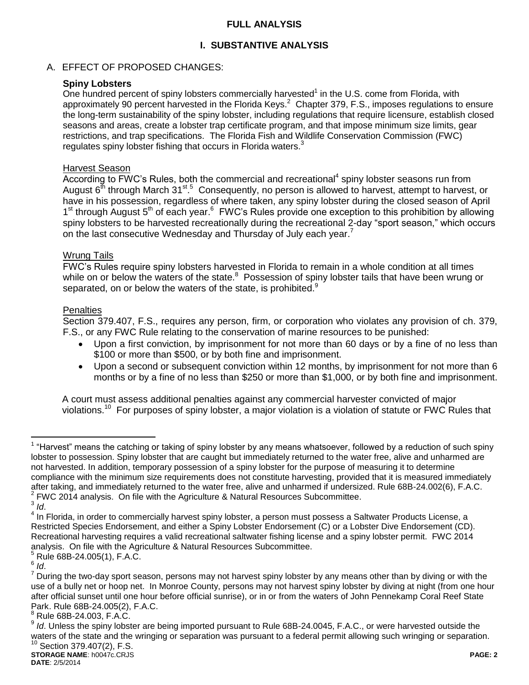## **FULL ANALYSIS**

# **I. SUBSTANTIVE ANALYSIS**

## A. EFFECT OF PROPOSED CHANGES:

## **Spiny Lobsters**

One hundred percent of spiny lobsters commercially harvested $<sup>1</sup>$  in the U.S. come from Florida, with</sup> approximately 90 percent harvested in the Florida Keys.<sup>2</sup> Chapter 379, F.S., imposes regulations to ensure the long-term sustainability of the spiny lobster, including regulations that require licensure, establish closed seasons and areas, create a lobster trap certificate program, and that impose minimum size limits, gear restrictions, and trap specifications. The Florida Fish and Wildlife Conservation Commission (FWC) regulates spiny lobster fishing that occurs in Florida waters.<sup>3</sup>

## Harvest Season

 $\overline{A}$ ccording to FWC's Rules, both the commercial and recreational<sup>4</sup> spiny lobster seasons run from August 6<sup>th</sup> through March 31<sup>st 5</sup> Consequently, no person is allowed to harvest, attempt to harvest, or have in his possession, regardless of where taken, any spiny lobster during the closed season of April 1<sup>st</sup> through August 5<sup>th</sup> of each year.<sup>6</sup> FWC's Rules provide one exception to this prohibition by allowing spiny lobsters to be harvested recreationally during the recreational 2-day "sport season," which occurs on the last consecutive Wednesday and Thursday of July each year.<sup>7</sup>

#### Wrung Tails

FWC's Rules require spiny lobsters harvested in Florida to remain in a whole condition at all times while on or below the waters of the state.<sup>8</sup> Possession of spiny lobster tails that have been wrung or separated, on or below the waters of the state, is prohibited.<sup>9</sup>

#### **Penalties**

Section 379.407, F.S., requires any person, firm, or corporation who violates any provision of ch. 379, F.S., or any FWC Rule relating to the conservation of marine resources to be punished:

- Upon a first conviction, by imprisonment for not more than 60 days or by a fine of no less than \$100 or more than \$500, or by both fine and imprisonment.
- Upon a second or subsequent conviction within 12 months, by imprisonment for not more than 6 months or by a fine of no less than \$250 or more than \$1,000, or by both fine and imprisonment.

A court must assess additional penalties against any commercial harvester convicted of major violations.<sup>10</sup> For purposes of spiny lobster, a major violation is a violation of statute or FWC Rules that

 $\overline{a}$ <sup>1</sup> "Harvest" means the catching or taking of spiny lobster by any means whatsoever, followed by a reduction of such spiny lobster to possession. Spiny lobster that are caught but immediately returned to the water free, alive and unharmed are not harvested. In addition, temporary possession of a spiny lobster for the purpose of measuring it to determine compliance with the minimum size requirements does not constitute harvesting, provided that it is measured immediately after taking, and immediately returned to the water free, alive and unharmed if undersized. Rule 68B-24.002(6), F.A.C.  $2$  FWC 2014 analysis. On file with the Agriculture & Natural Resources Subcommittee.

<sup>3</sup> *Id*.

<sup>&</sup>lt;sup>4</sup> In Florida, in order to commercially harvest spiny lobster, a person must possess a Saltwater Products License, a Restricted Species Endorsement, and either a Spiny Lobster Endorsement (C) or a Lobster Dive Endorsement (CD). Recreational harvesting requires a valid recreational saltwater fishing license and a spiny lobster permit. FWC 2014 analysis. On file with the Agriculture & Natural Resources Subcommittee.

<sup>5</sup> Rule 68B-24.005(1), F.A.C.

<sup>6</sup> *Id*.

 $<sup>7</sup>$  During the two-day sport season, persons may not harvest spiny lobster by any means other than by diving or with the</sup> use of a bully net or hoop net. In Monroe County, persons may not harvest spiny lobster by diving at night (from one hour after official sunset until one hour before official sunrise), or in or from the waters of John Pennekamp Coral Reef State Park. Rule 68B-24.005(2), F.A.C.

<sup>8</sup> Rule 68B-24.003, F.A.C.

**STORAGE NAME**: h0047c.CRJS **PAGE: 2** <sup>9</sup> Id. Unless the spiny lobster are being imported pursuant to Rule 68B-24.0045, F.A.C., or were harvested outside the waters of the state and the wringing or separation was pursuant to a federal permit allowing such wringing or separation.  $10$  Section 379.407(2), F.S.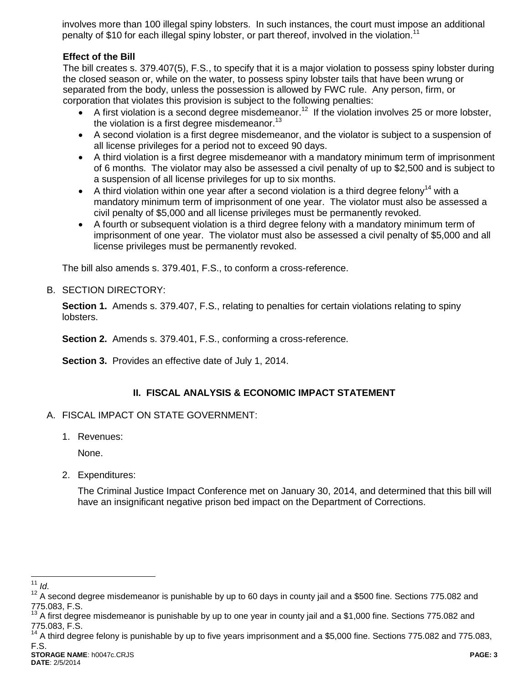involves more than 100 illegal spiny lobsters. In such instances, the court must impose an additional penalty of \$10 for each illegal spiny lobster, or part thereof, involved in the violation.<sup>11</sup>

## **Effect of the Bill**

The bill creates s. 379.407(5), F.S., to specify that it is a major violation to possess spiny lobster during the closed season or, while on the water, to possess spiny lobster tails that have been wrung or separated from the body, unless the possession is allowed by FWC rule. Any person, firm, or corporation that violates this provision is subject to the following penalties:

- A first violation is a second degree misdemeanor.<sup>12</sup> If the violation involves 25 or more lobster, the violation is a first degree misdemeanor.<sup>13</sup>
- A second violation is a first degree misdemeanor, and the violator is subject to a suspension of all license privileges for a period not to exceed 90 days.
- A third violation is a first degree misdemeanor with a mandatory minimum term of imprisonment of 6 months. The violator may also be assessed a civil penalty of up to \$2,500 and is subject to a suspension of all license privileges for up to six months.
- A third violation within one year after a second violation is a third degree felony<sup>14</sup> with a mandatory minimum term of imprisonment of one year. The violator must also be assessed a civil penalty of \$5,000 and all license privileges must be permanently revoked.
- A fourth or subsequent violation is a third degree felony with a mandatory minimum term of imprisonment of one year. The violator must also be assessed a civil penalty of \$5,000 and all license privileges must be permanently revoked.

The bill also amends s. 379.401, F.S., to conform a cross-reference.

## B. SECTION DIRECTORY:

**Section 1.** Amends s. 379.407, F.S., relating to penalties for certain violations relating to spiny lobsters.

**Section 2.** Amends s. 379.401, F.S., conforming a cross-reference.

**Section 3.** Provides an effective date of July 1, 2014.

## **II. FISCAL ANALYSIS & ECONOMIC IMPACT STATEMENT**

## A. FISCAL IMPACT ON STATE GOVERNMENT:

1. Revenues:

None.

2. Expenditures:

The Criminal Justice Impact Conference met on January 30, 2014, and determined that this bill will have an insignificant negative prison bed impact on the Department of Corrections.

 $\overline{a}$ <sup>11</sup> *Id*.

<sup>&</sup>lt;sup>12</sup> A second degree misdemeanor is punishable by up to 60 days in county jail and a \$500 fine. Sections 775.082 and 775.083, F.S.

 $13$  A first degree misdemeanor is punishable by up to one year in county jail and a \$1,000 fine. Sections 775.082 and 775.083, F.S.

 $14$  A third degree felony is punishable by up to five years imprisonment and a \$5,000 fine. Sections 775.082 and 775.083, F.S.